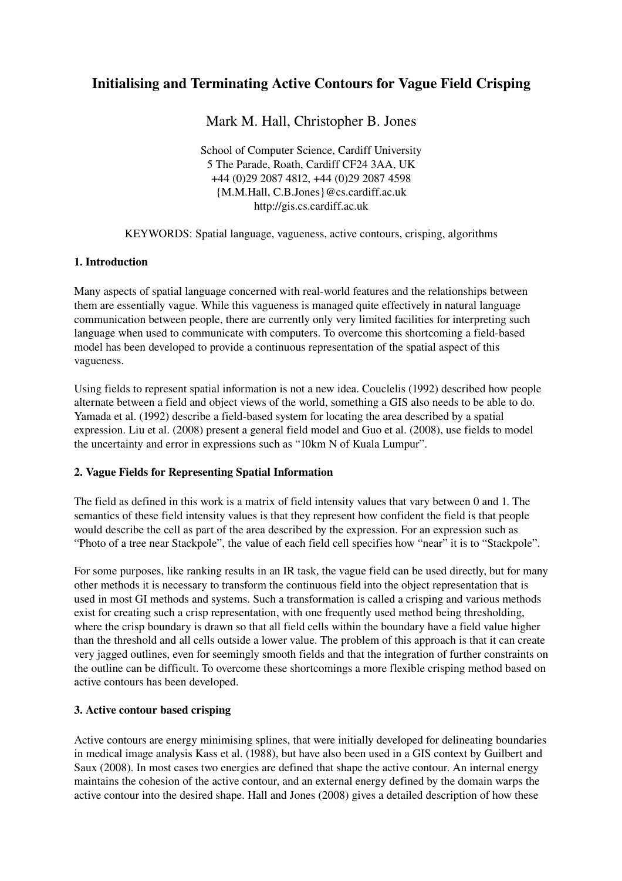# Initialising and Terminating Active Contours for Vague Field Crisping

Mark M. Hall, Christopher B. Jones

School of Computer Science, Cardiff University 5 The Parade, Roath, Cardiff CF24 3AA, UK +44 (0)29 2087 4812, +44 (0)29 2087 4598 {M.M.Hall, C.B.Jones}@cs.cardiff.ac.uk http://gis.cs.cardiff.ac.uk

KEYWORDS: Spatial language, vagueness, active contours, crisping, algorithms

## 1. Introduction

Many aspects of spatial language concerned with real-world features and the relationships between them are essentially vague. While this vagueness is managed quite effectively in natural language communication between people, there are currently only very limited facilities for interpreting such language when used to communicate with computers. To overcome this shortcoming a field-based model has been developed to provide a continuous representation of the spatial aspect of this vagueness.

Using fields to represent spatial information is not a new idea. Couclelis (1992) described how people alternate between a field and object views of the world, something a GIS also needs to be able to do. Yamada et al. (1992) describe a field-based system for locating the area described by a spatial expression. Liu et al. (2008) present a general field model and Guo et al. (2008), use fields to model the uncertainty and error in expressions such as "10km N of Kuala Lumpur".

## 2. Vague Fields for Representing Spatial Information

The field as defined in this work is a matrix of field intensity values that vary between 0 and 1. The semantics of these field intensity values is that they represent how confident the field is that people would describe the cell as part of the area described by the expression. For an expression such as "Photo of a tree near Stackpole", the value of each field cell specifies how "near" it is to "Stackpole".

For some purposes, like ranking results in an IR task, the vague field can be used directly, but for many other methods it is necessary to transform the continuous field into the object representation that is used in most GI methods and systems. Such a transformation is called a crisping and various methods exist for creating such a crisp representation, with one frequently used method being thresholding, where the crisp boundary is drawn so that all field cells within the boundary have a field value higher than the threshold and all cells outside a lower value. The problem of this approach is that it can create very jagged outlines, even for seemingly smooth fields and that the integration of further constraints on the outline can be difficult. To overcome these shortcomings a more flexible crisping method based on active contours has been developed.

# 3. Active contour based crisping

Active contours are energy minimising splines, that were initially developed for delineating boundaries in medical image analysis Kass et al. (1988), but have also been used in a GIS context by Guilbert and Saux (2008). In most cases two energies are defined that shape the active contour. An internal energy maintains the cohesion of the active contour, and an external energy defined by the domain warps the active contour into the desired shape. Hall and Jones (2008) gives a detailed description of how these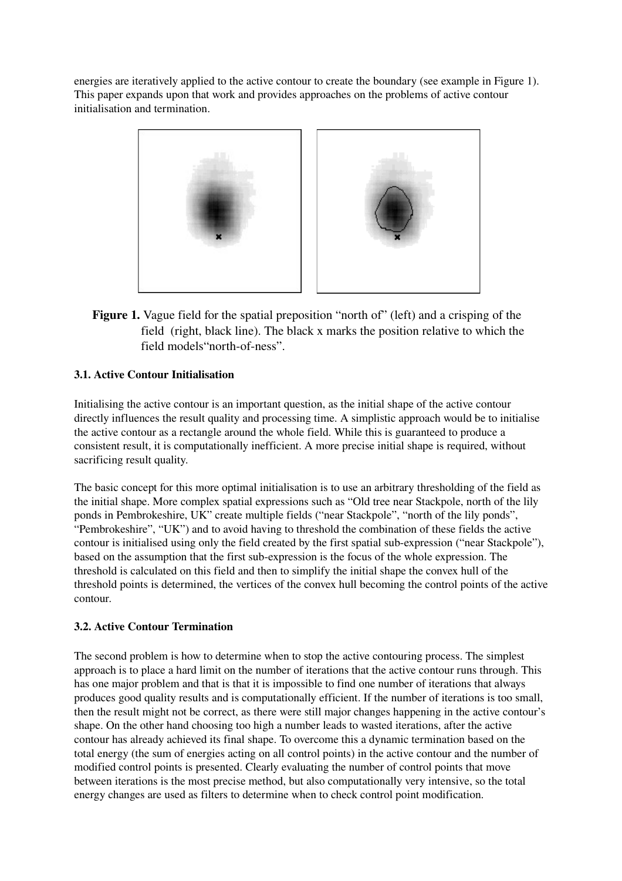energies are iteratively applied to the active contour to create the boundary (see example in Figure 1). This paper expands upon that work and provides approaches on the problems of active contour initialisation and termination.



Figure 1. Vague field for the spatial preposition "north of" (left) and a crisping of the field (right, black line). The black x marks the position relative to which the field models "north-of-ness".

# 3.1. Active Contour Initialisation

Initialising the active contour is an important question, as the initial shape of the active contour directly influences the result quality and processing time. A simplistic approach would be to initialise the active contour as a rectangle around the whole field. While this is guaranteed to produce a consistent result, it is computationally inefficient. A more precise initial shape is required, without sacrificing result quality.

The basic concept for this more optimal initialisation is to use an arbitrary thresholding of the field as the initial shape. More complex spatial expressions such as "Old tree near Stackpole, north of the lily ponds in Pembrokeshire, UK" create multiple fields ("near Stackpole", "north of the lily ponds", "Pembrokeshire", "UK") and to avoid having to threshold the combination of these fields the active contour is initialised using only the field created by the first spatial sub-expression ("near Stackpole"), based on the assumption that the first subexpression is the focus of the whole expression. The threshold is calculated on this field and then to simplify the initial shape the convex hull of the threshold points is determined, the vertices of the convex hull becoming the control points of the active contour.

# 3.2. Active Contour Termination

The second problem is how to determine when to stop the active contouring process. The simplest approach is to place a hard limit on the number of iterations that the active contour runs through. This has one major problem and that is that it is impossible to find one number of iterations that always produces good quality results and is computationally efficient. If the number of iterations is too small, then the result might not be correct, as there were still major changes happening in the active contour's shape. On the other hand choosing too high a number leads to wasted iterations, after the active contour has already achieved its final shape. To overcome this a dynamic termination based on the total energy (the sum of energies acting on all control points) in the active contour and the number of modified control points is presented. Clearly evaluating the number of control points that move between iterations is the most precise method, but also computationally very intensive, so the total energy changes are used as filters to determine when to check control point modification.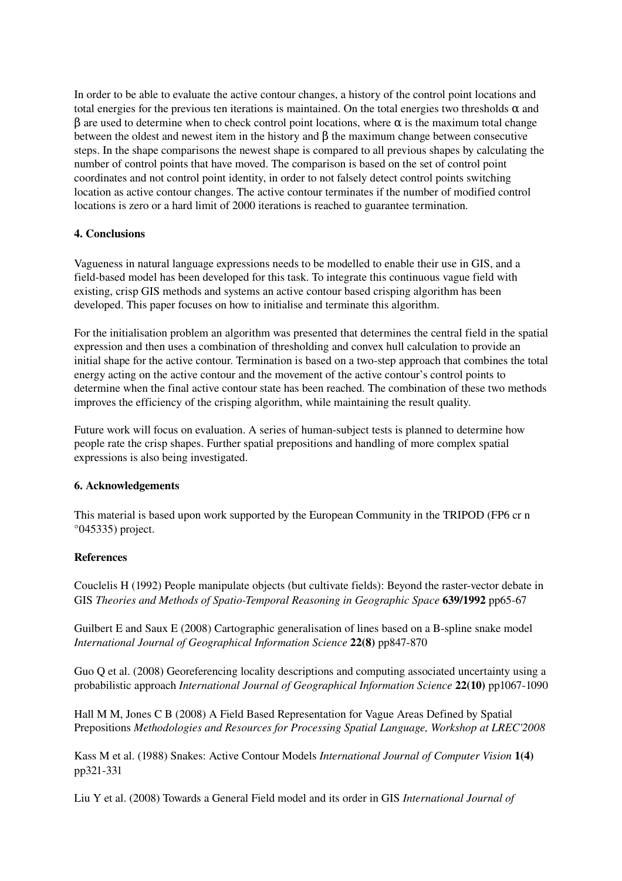In order to be able to evaluate the active contour changes, a history of the control point locations and total energies for the previous ten iterations is maintained. On the total energies two thresholds  $\alpha$  and  $β$  are used to determine when to check control point locations, where  $α$  is the maximum total change between the oldest and newest item in the history and  $\beta$  the maximum change between consecutive steps. In the shape comparisons the newest shape is compared to all previous shapes by calculating the number of control points that have moved. The comparison is based on the set of control point coordinates and not control point identity, in order to not falsely detect control points switching location as active contour changes. The active contour terminates if the number of modified control locations is zero or a hard limit of 2000 iterations is reached to guarantee termination.

## 4. Conclusions

Vagueness in natural language expressions needs to be modelled to enable their use in GIS, and a field-based model has been developed for this task. To integrate this continuous vague field with existing, crisp GIS methods and systems an active contour based crisping algorithm has been developed. This paper focuses on how to initialise and terminate this algorithm.

For the initialisation problem an algorithm was presented that determines the central field in the spatial expression and then uses a combination of thresholding and convex hull calculation to provide an initial shape for the active contour. Termination is based on a two-step approach that combines the total energy acting on the active contour and the movement of the active contour's control points to determine when the final active contour state has been reached. The combination of these two methods improves the efficiency of the crisping algorithm, while maintaining the result quality.

Future work will focus on evaluation. A series of human-subject tests is planned to determine how people rate the crisp shapes. Further spatial prepositions and handling of more complex spatial expressions is also being investigated.

## 6. Acknowledgements

This material is based upon work supported by the European Community in the TRIPOD (FP6 cr n  $°045335)$  project.

## **References**

Couclelis H (1992) People manipulate objects (but cultivate fields): Beyond the raster-vector debate in GIS *Theories and Methods of Spatio-Temporal Reasoning in Geographic Space* 639/1992 pp65-67

Guilbert E and Saux E  $(2008)$  Cartographic generalisation of lines based on a B-spline snake model *International Journal of Geographical Information Science* 22(8) pp847-870

Guo Q et al. (2008) Georeferencing locality descriptions and computing associated uncertainty using a probabilistic approach *International Journal of Geographical Information Science* 22(10) pp1067-1090

Hall M M, Jones C B (2008) A Field Based Representation for Vague Areas Defined by Spatial Prepositions *Methodologies and Resources for Processing Spatial Language, Workshop at LREC'2008*

Kass M et al. (1988) Snakes: Active Contour Models *International Journal of Computer Vision* 1(4) pp321-331

Liu Y et al. (2008) Towards a General Field model and its order in GIS *International Journal of*